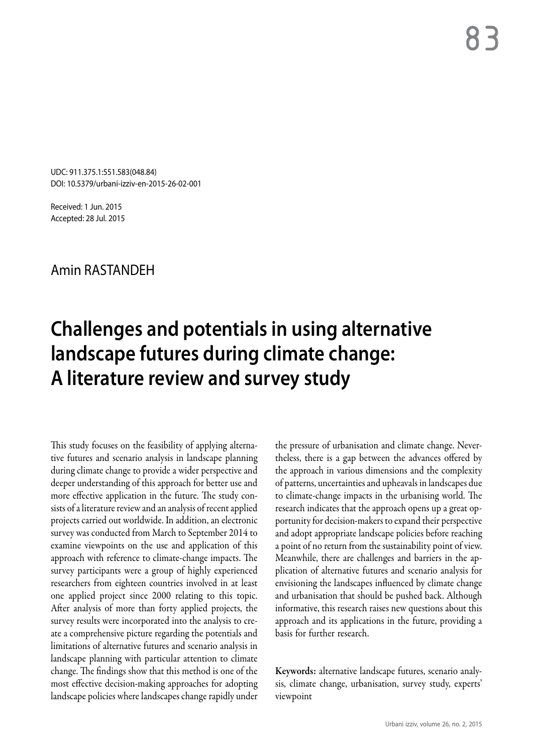UDC: 911.375.1:551.583(048.84) DOI: 10.5379/urbani-izziv-en-2015-26-02-001

Received: 1 Jun. 2015 Accepted: 28 Jul. 2015

## Amin RASTANDEH

# **Challenges and potentials in using alternative landscape futures during climate change: A literature review and survey study**

This study focuses on the feasibility of applying alternative futures and scenario analysis in landscape planning during climate change to provide a wider perspective and deeper understanding of this approach for better use and more effective application in the future. The study consists of a literature review and an analysis of recent applied projects carried out worldwide. In addition, an electronic survey was conducted from March to September 2014 to examine viewpoints on the use and application of this approach with reference to climate-change impacts. The survey participants were a group of highly experienced researchers from eighteen countries involved in at least one applied project since 2000 relating to this topic. After analysis of more than forty applied projects, the survey results were incorporated into the analysis to create a comprehensive picture regarding the potentials and limitations of alternative futures and scenario analysis in landscape planning with particular attention to climate change. The findings show that this method is one of the most effective decision-making approaches for adopting landscape policies where landscapes change rapidly under

the pressure of urbanisation and climate change. Nevertheless, there is a gap between the advances offered by the approach in various dimensions and the complexity of patterns, uncertainties and upheavals in landscapes due to climate-change impacts in the urbanising world. The research indicates that the approach opens up a great opportunity for decision-makers to expand their perspective and adopt appropriate landscape policies before reaching a point of no return from the sustainability point of view. Meanwhile, there are challenges and barriers in the application of alternative futures and scenario analysis for envisioning the landscapes influenced by climate change and urbanisation that should be pushed back. Although informative, this research raises new questions about this approach and its applications in the future, providing a basis for further research.

Keywords: alternative landscape futures, scenario analysis, climate change, urbanisation, survey study, experts' viewpoint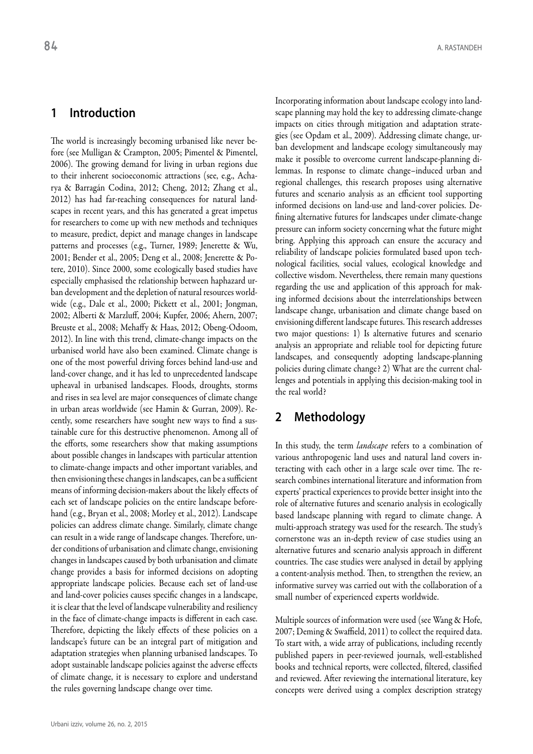## **1 Introduction**

The world is increasingly becoming urbanised like never before (see Mulligan & Crampton, 2005; Pimentel & Pimentel, 2006). The growing demand for living in urban regions due to their inherent socioeconomic attractions (see, e.g., Acharya & Barragán Codina, 2012; Cheng, 2012; Zhang et al., 2012) has had far-reaching consequences for natural landscapes in recent years, and this has generated a great impetus for researchers to come up with new methods and techniques to measure, predict, depict and manage changes in landscape patterns and processes (e.g., Turner, 1989; Jenerette & Wu, 2001; Bender et al., 2005; Deng et al., 2008; Jenerette & Potere, 2010). Since 2000, some ecologically based studies have especially emphasised the relationship between haphazard urban development and the depletion of natural resources worldwide (e.g., Dale et al., 2000; Pickett et al., 2001; Jongman, 2002; Alberti & Marzluff, 2004; Kupfer, 2006; Ahern, 2007; Breuste et al., 2008; Mehaffy & Haas, 2012; Obeng-Odoom, 2012). In line with this trend, climate-change impacts on the urbanised world have also been examined. Climate change is one of the most powerful driving forces behind land-use and land-cover change, and it has led to unprecedented landscape upheaval in urbanised landscapes. Floods, droughts, storms and rises in sea level are major consequences of climate change in urban areas worldwide (see Hamin & Gurran, 2009). Recently, some researchers have sought new ways to find a sustainable cure for this destructive phenomenon. Among all of the efforts, some researchers show that making assumptions about possible changes in landscapes with particular attention to climate-change impacts and other important variables, and then envisioning these changes in landscapes, can be a sufficient means of informing decision-makers about the likely effects of each set of landscape policies on the entire landscape beforehand (e.g., Bryan et al., 2008; Morley et al., 2012). Landscape policies can address climate change. Similarly, climate change can result in a wide range of landscape changes. Therefore, under conditions of urbanisation and climate change, envisioning changes in landscapes caused by both urbanisation and climate change provides a basis for informed decisions on adopting appropriate landscape policies. Because each set of land-use and land-cover policies causes specific changes in a landscape, it is clear that the level of landscape vulnerability and resiliency in the face of climate-change impacts is different in each case. Therefore, depicting the likely effects of these policies on a landscape's future can be an integral part of mitigation and adaptation strategies when planning urbanised landscapes. To adopt sustainable landscape policies against the adverse effects of climate change, it is necessary to explore and understand the rules governing landscape change over time.

Incorporating information about landscape ecology into landscape planning may hold the key to addressing climate-change impacts on cities through mitigation and adaptation strategies (see Opdam et al., 2009). Addressing climate change, urban development and landscape ecology simultaneously may make it possible to overcome current landscape-planning dilemmas. In response to climate change–induced urban and regional challenges, this research proposes using alternative futures and scenario analysis as an efficient tool supporting informed decisions on land-use and land-cover policies. Defining alternative futures for landscapes under climate-change pressure can inform society concerning what the future might bring. Applying this approach can ensure the accuracy and reliability of landscape policies formulated based upon technological facilities, social values, ecological knowledge and collective wisdom. Nevertheless, there remain many questions regarding the use and application of this approach for making informed decisions about the interrelationships between landscape change, urbanisation and climate change based on envisioning different landscape futures. This research addresses two major questions: 1) Is alternative futures and scenario analysis an appropriate and reliable tool for depicting future landscapes, and consequently adopting landscape-planning policies during climate change? 2) What are the current challenges and potentials in applying this decision-making tool in the real world?

## **2 Methodology**

In this study, the term *landscape* refers to a combination of various anthropogenic land uses and natural land covers interacting with each other in a large scale over time. The research combines international literature and information from experts' practical experiences to provide better insight into the role of alternative futures and scenario analysis in ecologically based landscape planning with regard to climate change. A multi-approach strategy was used for the research. The study's cornerstone was an in-depth review of case studies using an alternative futures and scenario analysis approach in different countries. The case studies were analysed in detail by applying a content-analysis method. Then, to strengthen the review, an informative survey was carried out with the collaboration of a small number of experienced experts worldwide.

Multiple sources of information were used (see Wang & Hofe, 2007; Deming & Swaffield, 2011) to collect the required data. To start with, a wide array of publications, including recently published papers in peer-reviewed journals, well-established books and technical reports, were collected, filtered, classified and reviewed. After reviewing the international literature, key concepts were derived using a complex description strategy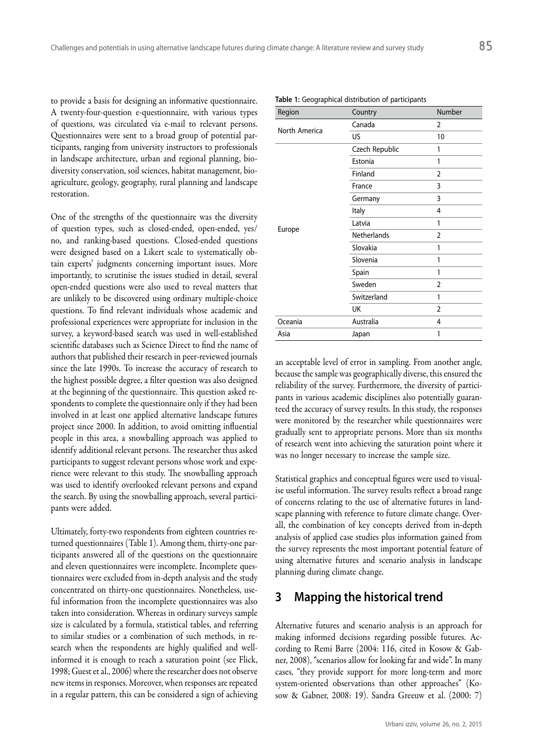to provide a basis for designing an informative questionnaire. A twenty-four-question e-questionnaire, with various types of questions, was circulated via e-mail to relevant persons. Questionnaires were sent to a broad group of potential participants, ranging from university instructors to professionals in landscape architecture, urban and regional planning, biodiversity conservation, soil sciences, habitat management, bioagriculture, geology, geography, rural planning and landscape restoration.

One of the strengths of the questionnaire was the diversity of question types, such as closed-ended, open-ended, yes/ no, and ranking-based questions. Closed-ended questions were designed based on a Likert scale to systematically obtain experts' judgments concerning important issues. More importantly, to scrutinise the issues studied in detail, several open-ended questions were also used to reveal matters that are unlikely to be discovered using ordinary multiple-choice questions. To find relevant individuals whose academic and professional experiences were appropriate for inclusion in the survey, a keyword-based search was used in well-established scientific databases such as Science Direct to find the name of authors that published their research in peer-reviewed journals since the late 1990s. To increase the accuracy of research to the highest possible degree, a filter question was also designed at the beginning of the questionnaire. This question asked respondents to complete the questionnaire only if they had been involved in at least one applied alternative landscape futures project since 2000. In addition, to avoid omitting influential people in this area, a snowballing approach was applied to identify additional relevant persons. The researcher thus asked participants to suggest relevant persons whose work and experience were relevant to this study. The snowballing approach was used to identify overlooked relevant persons and expand the search. By using the snowballing approach, several participants were added.

Ultimately, forty-two respondents from eighteen countries returned questionnaires (Table 1). Among them, thirty-one participants answered all of the questions on the questionnaire and eleven questionnaires were incomplete. Incomplete questionnaires were excluded from in-depth analysis and the study concentrated on thirty-one questionnaires. Nonetheless, useful information from the incomplete questionnaires was also taken into consideration. Whereas in ordinary surveys sample size is calculated by a formula, statistical tables, and referring to similar studies or a combination of such methods, in research when the respondents are highly qualified and wellinformed it is enough to reach a saturation point (see Flick, 1998; Guest et al., 2006) where the researcher does not observe new items in responses. Moreover, when responses are repeated in a regular pattern, this can be considered a sign of achieving

| Region        | Country        | Number         |
|---------------|----------------|----------------|
| North America | Canada         | 2              |
|               | US             | 10             |
|               | Czech Republic | 1              |
|               | Estonia        | 1              |
|               | Finland        | $\overline{2}$ |
|               | France         | 3              |
|               | Germany        | 3              |
|               | Italy          | 4              |
|               | Latvia         | 1              |
| Europe        | Netherlands    | $\overline{2}$ |
|               | Slovakia       | 1              |
|               | Slovenia       | 1              |
|               | Spain          | 1              |
|               | Sweden         | $\overline{2}$ |
|               | Switzerland    | 1              |
|               | UK             | $\overline{2}$ |
| Oceania       | Australia      | 4              |
| Asia          | Japan          | 1              |

**Table 1:** Geographical distribution of participants

an acceptable level of error in sampling. From another angle, because the sample was geographically diverse, this ensured the reliability of the survey. Furthermore, the diversity of participants in various academic disciplines also potentially guaranteed the accuracy of survey results. In this study, the responses were monitored by the researcher while questionnaires were gradually sent to appropriate persons. More than six months of research went into achieving the saturation point where it was no longer necessary to increase the sample size.

Statistical graphics and conceptual figures were used to visualise useful information. The survey results reflect a broad range of concerns relating to the use of alternative futures in landscape planning with reference to future climate change. Overall, the combination of key concepts derived from in-depth analysis of applied case studies plus information gained from the survey represents the most important potential feature of using alternative futures and scenario analysis in landscape planning during climate change.

## **3 Mapping the historical trend**

Alternative futures and scenario analysis is an approach for making informed decisions regarding possible futures. According to Remi Barre (2004: 116, cited in Kosow & Gabner, 2008), "scenarios allow for looking far and wide". In many cases, "they provide support for more long-term and more system-oriented observations than other approaches" (Kosow & Gabner, 2008: 19). Sandra Greeuw et al. (2000: 7)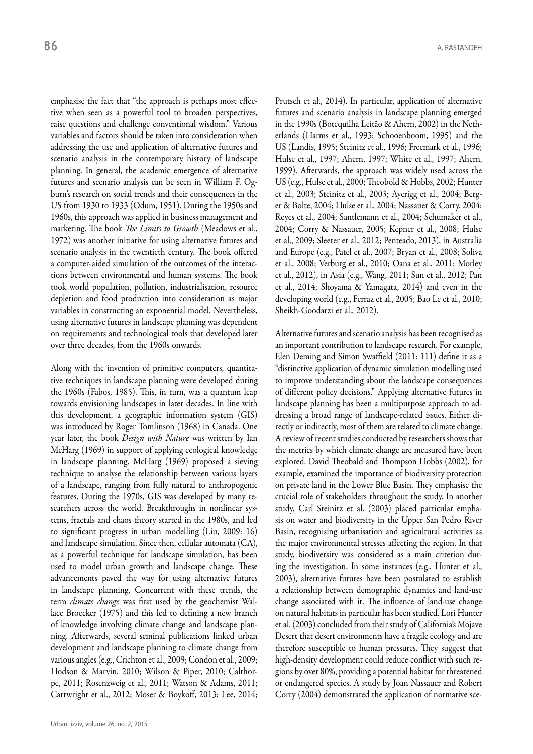emphasise the fact that "the approach is perhaps most effective when seen as a powerful tool to broaden perspectives, raise questions and challenge conventional wisdom." Various variables and factors should be taken into consideration when addressing the use and application of alternative futures and scenario analysis in the contemporary history of landscape planning. In general, the academic emergence of alternative futures and scenario analysis can be seen in William F. Ogburn's research on social trends and their consequences in the US from 1930 to 1933 (Odum, 1951). During the 1950s and 1960s, this approach was applied in business management and marketing. The book *The Limits to Growth* (Meadows et al., 1972) was another initiative for using alternative futures and scenario analysis in the twentieth century. The book offered a computer-aided simulation of the outcomes of the interactions between environmental and human systems. The book took world population, pollution, industrialisation, resource depletion and food production into consideration as major variables in constructing an exponential model. Nevertheless, using alternative futures in landscape planning was dependent on requirements and technological tools that developed later over three decades, from the 1960s onwards.

Along with the invention of primitive computers, quantitative techniques in landscape planning were developed during the 1960s (Fabos, 1985). This, in turn, was a quantum leap towards envisioning landscapes in later decades. In line with this development, a geographic information system (GIS) was introduced by Roger Tomlinson (1968) in Canada. One year later, the book *Design with Nature* was written by Ian McHarg (1969) in support of applying ecological knowledge in landscape planning. McHarg (1969) proposed a sieving technique to analyse the relationship between various layers of a landscape, ranging from fully natural to anthropogenic features. During the 1970s, GIS was developed by many researchers across the world. Breakthroughs in nonlinear systems, fractals and chaos theory started in the 1980s, and led to significant progress in urban modelling (Liu, 2009: 16) and landscape simulation. Since then, cellular automata (CA), as a powerful technique for landscape simulation, has been used to model urban growth and landscape change. These advancements paved the way for using alternative futures in landscape planning. Concurrent with these trends, the term *climate change* was first used by the geochemist Wallace Broecker (1975) and this led to defining a new branch of knowledge involving climate change and landscape planning. Afterwards, several seminal publications linked urban development and landscape planning to climate change from various angles (e.g., Crichton et al., 2009; Condon et al., 2009; Hodson & Marvin, 2010; Wilson & Piper, 2010; Calthorpe, 2011; Rosenzweig et al., 2011; Watson & Adams, 2011; Cartwright et al., 2012; Moser & Boykoff, 2013; Lee, 2014; Prutsch et al., 2014). In particular, application of alternative futures and scenario analysis in landscape planning emerged in the 1990s (Botequilha Leitão & Ahern, 2002) in the Netherlands (Harms et al., 1993; Schooenboom, 1995) and the US (Landis, 1995; Steinitz et al., 1996; Freemark et al., 1996; Hulse et al., 1997; Ahern, 1997; White et al., 1997; Ahern, 1999). Afterwards, the approach was widely used across the US (e.g., Hulse et al., 2000; Theobold & Hobbs, 2002; Hunter et al., 2003; Steinitz et al., 2003; Aycrigg et al., 2004; Berger & Bolte, 2004; Hulse et al., 2004; Nassauer & Corry, 2004; Reyes et al., 2004; Santlemann et al., 2004; Schumaker et al., 2004; Corry & Nassauer, 2005; Kepner et al., 2008; Hulse et al., 2009; Sleeter et al., 2012; Penteado, 2013), in Australia and Europe (e.g., Patel et al., 2007; Bryan et al., 2008; Soliva et al., 2008; Verburg et al., 2010; Oana et al., 2011; Morley et al., 2012), in Asia (e.g., Wang, 2011; Sun et al., 2012; Pan et al., 2014; Shoyama & Yamagata, 2014) and even in the developing world (e.g., Ferraz et al., 2005; Bao Le et al., 2010; Sheikh-Goodarzi et al., 2012).

Alternative futures and scenario analysis has been recognised as an important contribution to landscape research. For example, Elen Deming and Simon Swaffield (2011: 111) define it as a "distinctive application of dynamic simulation modelling used to improve understanding about the landscape consequences of different policy decisions." Applying alternative futures in landscape planning has been a multipurpose approach to addressing a broad range of landscape-related issues. Either directly or indirectly, most of them are related to climate change. A review of recent studies conducted by researchers shows that the metrics by which climate change are measured have been explored. David Theobald and Thompson Hobbs (2002), for example, examined the importance of biodiversity protection on private land in the Lower Blue Basin. They emphasise the crucial role of stakeholders throughout the study. In another study, Carl Steinitz et al. (2003) placed particular emphasis on water and biodiversity in the Upper San Pedro River Basin, recognising urbanisation and agricultural activities as the major environmental stresses affecting the region. In that study, biodiversity was considered as a main criterion during the investigation. In some instances (e.g., Hunter et al., 2003), alternative futures have been postulated to establish a relationship between demographic dynamics and land-use change associated with it. The influence of land-use change on natural habitats in particular has been studied. Lori Hunter et al. (2003) concluded from their study of California's Mojave Desert that desert environments have a fragile ecology and are therefore susceptible to human pressures. They suggest that high-density development could reduce conflict with such regions by over 80%, providing a potential habitat for threatened or endangered species. A study by Joan Nassauer and Robert Corry (2004) demonstrated the application of normative sce-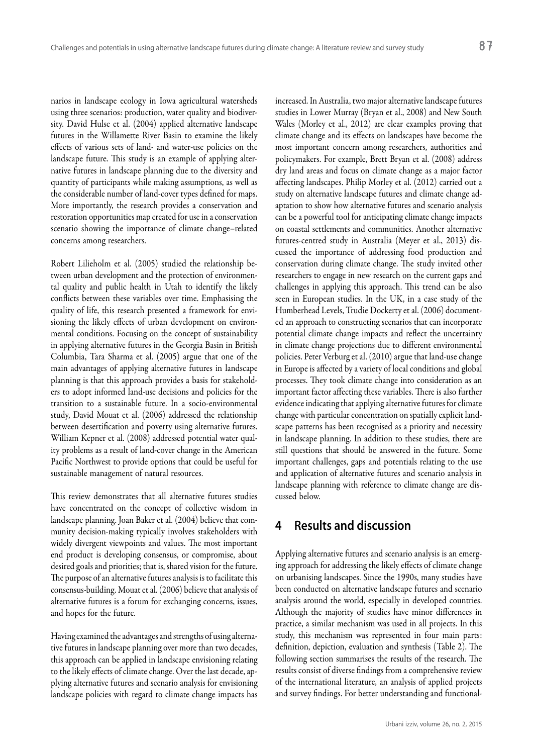narios in landscape ecology in Iowa agricultural watersheds using three scenarios: production, water quality and biodiversity. David Hulse et al. (2004) applied alternative landscape futures in the Willamette River Basin to examine the likely effects of various sets of land- and water-use policies on the landscape future. This study is an example of applying alternative futures in landscape planning due to the diversity and quantity of participants while making assumptions, as well as the considerable number of land-cover types defined for maps. More importantly, the research provides a conservation and restoration opportunities map created for use in a conservation scenario showing the importance of climate change–related concerns among researchers.

Robert Lilieholm et al. (2005) studied the relationship between urban development and the protection of environmental quality and public health in Utah to identify the likely conflicts between these variables over time. Emphasising the quality of life, this research presented a framework for envisioning the likely effects of urban development on environmental conditions. Focusing on the concept of sustainability in applying alternative futures in the Georgia Basin in British Columbia, Tara Sharma et al. (2005) argue that one of the main advantages of applying alternative futures in landscape planning is that this approach provides a basis for stakeholders to adopt informed land-use decisions and policies for the transition to a sustainable future. In a socio-environmental study, David Mouat et al. (2006) addressed the relationship between desertification and poverty using alternative futures. William Kepner et al. (2008) addressed potential water quality problems as a result of land-cover change in the American Pacific Northwest to provide options that could be useful for sustainable management of natural resources.

This review demonstrates that all alternative futures studies have concentrated on the concept of collective wisdom in landscape planning. Joan Baker et al. (2004) believe that community decision-making typically involves stakeholders with widely divergent viewpoints and values. The most important end product is developing consensus, or compromise, about desired goals and priorities; that is, shared vision for the future. The purpose of an alternative futures analysis is to facilitate this consensus-building. Mouat et al. (2006) believe that analysis of alternative futures is a forum for exchanging concerns, issues, and hopes for the future.

Having examined the advantages and strengths of using alternative futures in landscape planning over more than two decades, this approach can be applied in landscape envisioning relating to the likely effects of climate change. Over the last decade, applying alternative futures and scenario analysis for envisioning landscape policies with regard to climate change impacts has

increased. In Australia, two major alternative landscape futures studies in Lower Murray (Bryan et al., 2008) and New South Wales (Morley et al., 2012) are clear examples proving that climate change and its effects on landscapes have become the most important concern among researchers, authorities and policymakers. For example, Brett Bryan et al. (2008) address dry land areas and focus on climate change as a major factor affecting landscapes. Philip Morley et al. (2012) carried out a study on alternative landscape futures and climate change adaptation to show how alternative futures and scenario analysis can be a powerful tool for anticipating climate change impacts on coastal settlements and communities. Another alternative futures-centred study in Australia (Meyer et al., 2013) discussed the importance of addressing food production and conservation during climate change. The study invited other researchers to engage in new research on the current gaps and challenges in applying this approach. This trend can be also seen in European studies. In the UK, in a case study of the Humberhead Levels, Trudie Dockerty et al. (2006) documented an approach to constructing scenarios that can incorporate potential climate change impacts and reflect the uncertainty in climate change projections due to different environmental policies. Peter Verburg et al. (2010) argue that land-use change in Europe is affected by a variety of local conditions and global processes. They took climate change into consideration as an important factor affecting these variables. There is also further evidence indicating that applying alternative futures for climate change with particular concentration on spatially explicit landscape patterns has been recognised as a priority and necessity in landscape planning. In addition to these studies, there are still questions that should be answered in the future. Some important challenges, gaps and potentials relating to the use and application of alternative futures and scenario analysis in landscape planning with reference to climate change are discussed below.

## **4 Results and discussion**

Applying alternative futures and scenario analysis is an emerging approach for addressing the likely effects of climate change on urbanising landscapes. Since the 1990s, many studies have been conducted on alternative landscape futures and scenario analysis around the world, especially in developed countries. Although the majority of studies have minor differences in practice, a similar mechanism was used in all projects. In this study, this mechanism was represented in four main parts: definition, depiction, evaluation and synthesis (Table 2). The following section summarises the results of the research. The results consist of diverse findings from a comprehensive review of the international literature, an analysis of applied projects and survey findings. For better understanding and functional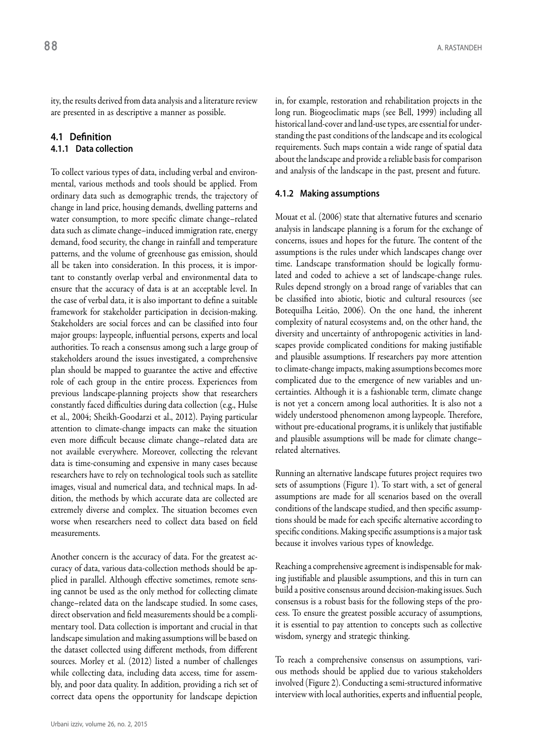ity, the results derived from data analysis and a literature review are presented in as descriptive a manner as possible.

#### **4.1 Definition 4.1.1 Data collection**

To collect various types of data, including verbal and environmental, various methods and tools should be applied. From ordinary data such as demographic trends, the trajectory of change in land price, housing demands, dwelling patterns and water consumption, to more specific climate change–related data such as climate change–induced immigration rate, energy demand, food security, the change in rainfall and temperature patterns, and the volume of greenhouse gas emission, should all be taken into consideration. In this process, it is important to constantly overlap verbal and environmental data to ensure that the accuracy of data is at an acceptable level. In the case of verbal data, it is also important to define a suitable framework for stakeholder participation in decision-making. Stakeholders are social forces and can be classified into four major groups: laypeople, influential persons, experts and local authorities. To reach a consensus among such a large group of stakeholders around the issues investigated, a comprehensive plan should be mapped to guarantee the active and effective role of each group in the entire process. Experiences from previous landscape-planning projects show that researchers constantly faced difficulties during data collection (e.g., Hulse et al., 2004; Sheikh-Goodarzi et al., 2012). Paying particular attention to climate-change impacts can make the situation even more difficult because climate change–related data are not available everywhere. Moreover, collecting the relevant data is time-consuming and expensive in many cases because researchers have to rely on technological tools such as satellite images, visual and numerical data, and technical maps. In addition, the methods by which accurate data are collected are extremely diverse and complex. The situation becomes even worse when researchers need to collect data based on field measurements.

Another concern is the accuracy of data. For the greatest accuracy of data, various data-collection methods should be applied in parallel. Although effective sometimes, remote sensing cannot be used as the only method for collecting climate change–related data on the landscape studied. In some cases, direct observation and field measurements should be a complimentary tool. Data collection is important and crucial in that landscape simulation and making assumptions will be based on the dataset collected using different methods, from different sources. Morley et al. (2012) listed a number of challenges while collecting data, including data access, time for assembly, and poor data quality. In addition, providing a rich set of correct data opens the opportunity for landscape depiction

in, for example, restoration and rehabilitation projects in the long run. Biogeoclimatic maps (see Bell, 1999) including all historical land-cover and land-use types, are essential for understanding the past conditions of the landscape and its ecological requirements. Such maps contain a wide range of spatial data about the landscape and provide a reliable basis for comparison and analysis of the landscape in the past, present and future.

#### **4.1.2 Making assumptions**

Mouat et al. (2006) state that alternative futures and scenario analysis in landscape planning is a forum for the exchange of concerns, issues and hopes for the future. The content of the assumptions is the rules under which landscapes change over time. Landscape transformation should be logically formulated and coded to achieve a set of landscape-change rules. Rules depend strongly on a broad range of variables that can be classified into abiotic, biotic and cultural resources (see Botequilha Leitão, 2006). On the one hand, the inherent complexity of natural ecosystems and, on the other hand, the diversity and uncertainty of anthropogenic activities in landscapes provide complicated conditions for making justifiable and plausible assumptions. If researchers pay more attention to climate-change impacts, making assumptions becomes more complicated due to the emergence of new variables and uncertainties. Although it is a fashionable term, climate change is not yet a concern among local authorities. It is also not a widely understood phenomenon among laypeople. Therefore, without pre-educational programs, it is unlikely that justifiable and plausible assumptions will be made for climate change– related alternatives.

Running an alternative landscape futures project requires two sets of assumptions (Figure 1). To start with, a set of general assumptions are made for all scenarios based on the overall conditions of the landscape studied, and then specific assumptions should be made for each specific alternative according to specific conditions. Making specific assumptions is a major task because it involves various types of knowledge.

Reaching a comprehensive agreement is indispensable for making justifiable and plausible assumptions, and this in turn can build a positive consensus around decision-making issues. Such consensus is a robust basis for the following steps of the process. To ensure the greatest possible accuracy of assumptions, it is essential to pay attention to concepts such as collective wisdom, synergy and strategic thinking.

To reach a comprehensive consensus on assumptions, various methods should be applied due to various stakeholders involved (Figure 2). Conducting a semi-structured informative interview with local authorities, experts and influential people,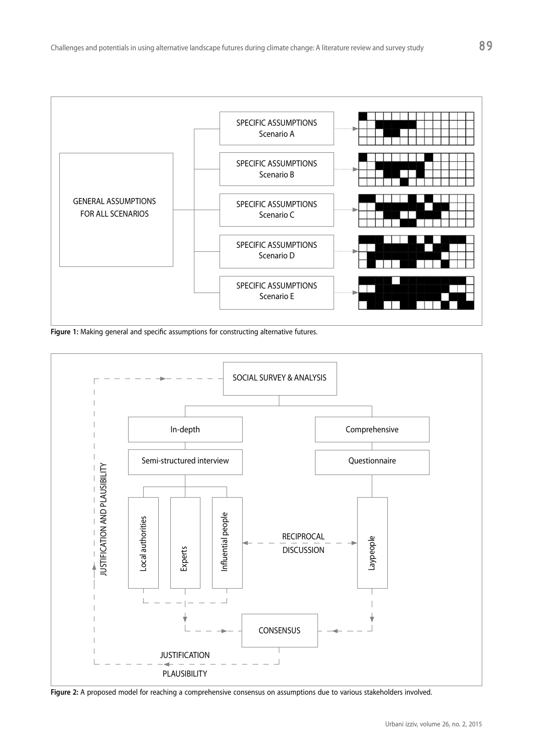

**Figure 1:** Making general and specific assumptions for constructing alternative futures.



**Figure 2:** A proposed model for reaching a comprehensive consensus on assumptions due to various stakeholders involved.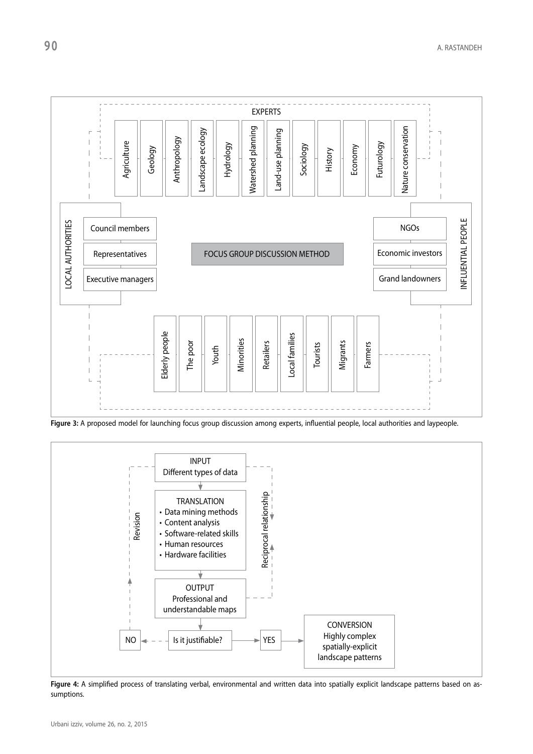

**Figure 3:** A proposed model for launching focus group discussion among experts, influential people, local authorities and laypeople.



Figure 4: A simplified process of translating verbal, environmental and written data into spatially explicit landscape patterns based on assumptions.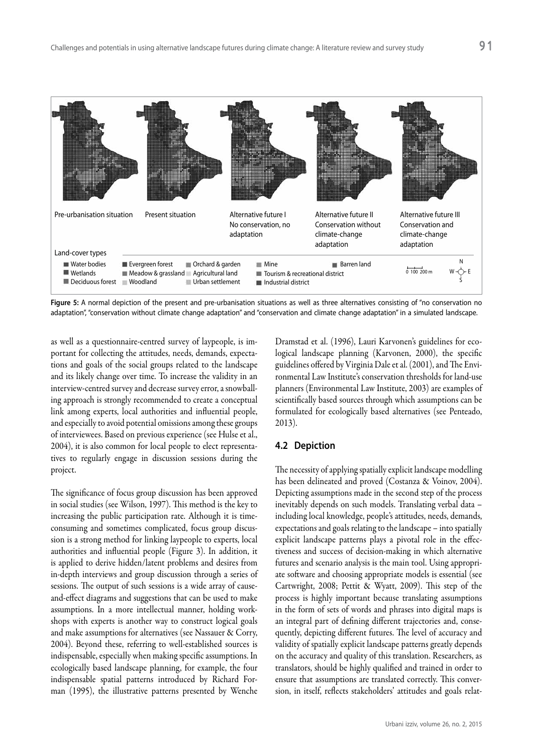

Figure 5: A normal depiction of the present and pre-urbanisation situations as well as three alternatives consisting of "no conservation no adaptation", "conservation without climate change adaptation" and "conservation and climate change adaptation" in a simulated landscape.

as well as a questionnaire-centred survey of laypeople, is important for collecting the attitudes, needs, demands, expectations and goals of the social groups related to the landscape and its likely change over time. To increase the validity in an interview-centred survey and decrease survey error, a snowballing approach is strongly recommended to create a conceptual link among experts, local authorities and influential people, and especially to avoid potential omissions among these groups of interviewees. Based on previous experience (see Hulse et al., 2004), it is also common for local people to elect representatives to regularly engage in discussion sessions during the project.

The significance of focus group discussion has been approved in social studies (see Wilson, 1997). This method is the key to increasing the public participation rate. Although it is timeconsuming and sometimes complicated, focus group discussion is a strong method for linking laypeople to experts, local authorities and influential people (Figure 3). In addition, it is applied to derive hidden/latent problems and desires from in-depth interviews and group discussion through a series of sessions. The output of such sessions is a wide array of causeand-effect diagrams and suggestions that can be used to make assumptions. In a more intellectual manner, holding workshops with experts is another way to construct logical goals and make assumptions for alternatives (see Nassauer & Corry, 2004). Beyond these, referring to well-established sources is indispensable, especially when making specific assumptions. In ecologically based landscape planning, for example, the four indispensable spatial patterns introduced by Richard Forman (1995), the illustrative patterns presented by Wenche

Dramstad et al. (1996), Lauri Karvonen's guidelines for ecological landscape planning (Karvonen, 2000), the specific guidelines offered by Virginia Dale et al. (2001), and The Environmental Law Institute's conservation thresholds for land-use planners (Environmental Law Institute, 2003) are examples of scientifically based sources through which assumptions can be formulated for ecologically based alternatives (see Penteado, 2013).

#### **4.2 Depiction**

The necessity of applying spatially explicit landscape modelling has been delineated and proved (Costanza & Voinov, 2004). Depicting assumptions made in the second step of the process inevitably depends on such models. Translating verbal data – including local knowledge, people's attitudes, needs, demands, expectations and goals relating to the landscape – into spatially explicit landscape patterns plays a pivotal role in the effectiveness and success of decision-making in which alternative futures and scenario analysis is the main tool. Using appropriate software and choosing appropriate models is essential (see Cartwright, 2008; Pettit & Wyatt, 2009). This step of the process is highly important because translating assumptions in the form of sets of words and phrases into digital maps is an integral part of defining different trajectories and, consequently, depicting different futures. The level of accuracy and validity of spatially explicit landscape patterns greatly depends on the accuracy and quality of this translation. Researchers, as translators, should be highly qualified and trained in order to ensure that assumptions are translated correctly. This conversion, in itself, reflects stakeholders' attitudes and goals relat-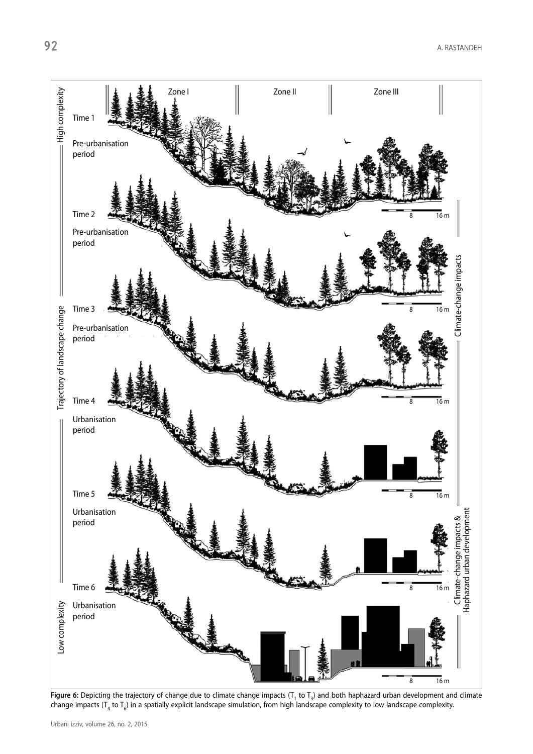

**Figure 6:** Depicting the trajectory of change due to climate change impacts ( $T_1$  to  $T_3$ ) and both haphazard urban development and climate change impacts ( $T_4$  to  $T_6$ ) in a spatially explicit landscape simulation,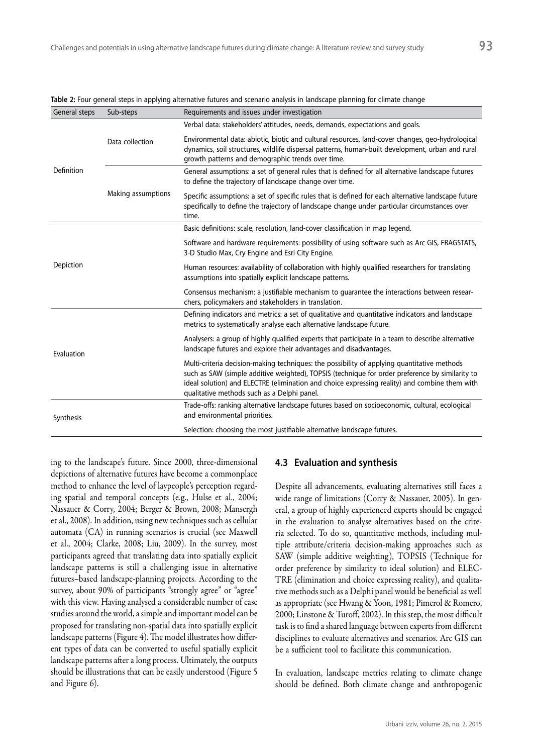| Verbal data: stakeholders' attitudes, needs, demands, expectations and goals.<br>Environmental data: abiotic, biotic and cultural resources, land-cover changes, geo-hydrological<br>Data collection<br>dynamics, soil structures, wildlife dispersal patterns, human-built development, urban and rural<br>growth patterns and demographic trends over time.<br>Definition<br>General assumptions: a set of general rules that is defined for all alternative landscape futures<br>to define the trajectory of landscape change over time.<br>Making assumptions<br>Specific assumptions: a set of specific rules that is defined for each alternative landscape future<br>specifically to define the trajectory of landscape change under particular circumstances over<br>time.<br>Basic definitions: scale, resolution, land-cover classification in map legend.<br>Software and hardware requirements: possibility of using software such as Arc GIS, FRAGSTATS,<br>3-D Studio Max, Cry Engine and Esri City Engine.<br>Depiction<br>Human resources: availability of collaboration with highly qualified researchers for translating<br>assumptions into spatially explicit landscape patterns.<br>Consensus mechanism: a justifiable mechanism to guarantee the interactions between resear-<br>chers, policymakers and stakeholders in translation.<br>Defining indicators and metrics: a set of qualitative and quantitative indicators and landscape<br>metrics to systematically analyse each alternative landscape future.<br>Analysers: a group of highly qualified experts that participate in a team to describe alternative<br>landscape futures and explore their advantages and disadvantages.<br>Evaluation<br>Multi-criteria decision-making techniques: the possibility of applying quantitative methods<br>such as SAW (simple additive weighted), TOPSIS (technique for order preference by similarity to<br>ideal solution) and ELECTRE (elimination and choice expressing reality) and combine them with<br>qualitative methods such as a Delphi panel.<br>Trade-offs: ranking alternative landscape futures based on socioeconomic, cultural, ecological<br>and environmental priorities.<br>Synthesis<br>Selection: choosing the most justifiable alternative landscape futures. | General steps | Sub-steps | Requirements and issues under investigation |  |
|-------------------------------------------------------------------------------------------------------------------------------------------------------------------------------------------------------------------------------------------------------------------------------------------------------------------------------------------------------------------------------------------------------------------------------------------------------------------------------------------------------------------------------------------------------------------------------------------------------------------------------------------------------------------------------------------------------------------------------------------------------------------------------------------------------------------------------------------------------------------------------------------------------------------------------------------------------------------------------------------------------------------------------------------------------------------------------------------------------------------------------------------------------------------------------------------------------------------------------------------------------------------------------------------------------------------------------------------------------------------------------------------------------------------------------------------------------------------------------------------------------------------------------------------------------------------------------------------------------------------------------------------------------------------------------------------------------------------------------------------------------------------------------------------------------------------------------------------------------------------------------------------------------------------------------------------------------------------------------------------------------------------------------------------------------------------------------------------------------------------------------------------------------------------------------------------------------------------------------------------------------------------------------------------------------------|---------------|-----------|---------------------------------------------|--|
|                                                                                                                                                                                                                                                                                                                                                                                                                                                                                                                                                                                                                                                                                                                                                                                                                                                                                                                                                                                                                                                                                                                                                                                                                                                                                                                                                                                                                                                                                                                                                                                                                                                                                                                                                                                                                                                                                                                                                                                                                                                                                                                                                                                                                                                                                                             |               |           |                                             |  |
|                                                                                                                                                                                                                                                                                                                                                                                                                                                                                                                                                                                                                                                                                                                                                                                                                                                                                                                                                                                                                                                                                                                                                                                                                                                                                                                                                                                                                                                                                                                                                                                                                                                                                                                                                                                                                                                                                                                                                                                                                                                                                                                                                                                                                                                                                                             |               |           |                                             |  |
|                                                                                                                                                                                                                                                                                                                                                                                                                                                                                                                                                                                                                                                                                                                                                                                                                                                                                                                                                                                                                                                                                                                                                                                                                                                                                                                                                                                                                                                                                                                                                                                                                                                                                                                                                                                                                                                                                                                                                                                                                                                                                                                                                                                                                                                                                                             |               |           |                                             |  |
|                                                                                                                                                                                                                                                                                                                                                                                                                                                                                                                                                                                                                                                                                                                                                                                                                                                                                                                                                                                                                                                                                                                                                                                                                                                                                                                                                                                                                                                                                                                                                                                                                                                                                                                                                                                                                                                                                                                                                                                                                                                                                                                                                                                                                                                                                                             |               |           |                                             |  |
|                                                                                                                                                                                                                                                                                                                                                                                                                                                                                                                                                                                                                                                                                                                                                                                                                                                                                                                                                                                                                                                                                                                                                                                                                                                                                                                                                                                                                                                                                                                                                                                                                                                                                                                                                                                                                                                                                                                                                                                                                                                                                                                                                                                                                                                                                                             |               |           |                                             |  |
|                                                                                                                                                                                                                                                                                                                                                                                                                                                                                                                                                                                                                                                                                                                                                                                                                                                                                                                                                                                                                                                                                                                                                                                                                                                                                                                                                                                                                                                                                                                                                                                                                                                                                                                                                                                                                                                                                                                                                                                                                                                                                                                                                                                                                                                                                                             |               |           |                                             |  |
|                                                                                                                                                                                                                                                                                                                                                                                                                                                                                                                                                                                                                                                                                                                                                                                                                                                                                                                                                                                                                                                                                                                                                                                                                                                                                                                                                                                                                                                                                                                                                                                                                                                                                                                                                                                                                                                                                                                                                                                                                                                                                                                                                                                                                                                                                                             |               |           |                                             |  |
|                                                                                                                                                                                                                                                                                                                                                                                                                                                                                                                                                                                                                                                                                                                                                                                                                                                                                                                                                                                                                                                                                                                                                                                                                                                                                                                                                                                                                                                                                                                                                                                                                                                                                                                                                                                                                                                                                                                                                                                                                                                                                                                                                                                                                                                                                                             |               |           |                                             |  |
|                                                                                                                                                                                                                                                                                                                                                                                                                                                                                                                                                                                                                                                                                                                                                                                                                                                                                                                                                                                                                                                                                                                                                                                                                                                                                                                                                                                                                                                                                                                                                                                                                                                                                                                                                                                                                                                                                                                                                                                                                                                                                                                                                                                                                                                                                                             |               |           |                                             |  |
|                                                                                                                                                                                                                                                                                                                                                                                                                                                                                                                                                                                                                                                                                                                                                                                                                                                                                                                                                                                                                                                                                                                                                                                                                                                                                                                                                                                                                                                                                                                                                                                                                                                                                                                                                                                                                                                                                                                                                                                                                                                                                                                                                                                                                                                                                                             |               |           |                                             |  |
|                                                                                                                                                                                                                                                                                                                                                                                                                                                                                                                                                                                                                                                                                                                                                                                                                                                                                                                                                                                                                                                                                                                                                                                                                                                                                                                                                                                                                                                                                                                                                                                                                                                                                                                                                                                                                                                                                                                                                                                                                                                                                                                                                                                                                                                                                                             |               |           |                                             |  |
|                                                                                                                                                                                                                                                                                                                                                                                                                                                                                                                                                                                                                                                                                                                                                                                                                                                                                                                                                                                                                                                                                                                                                                                                                                                                                                                                                                                                                                                                                                                                                                                                                                                                                                                                                                                                                                                                                                                                                                                                                                                                                                                                                                                                                                                                                                             |               |           |                                             |  |
|                                                                                                                                                                                                                                                                                                                                                                                                                                                                                                                                                                                                                                                                                                                                                                                                                                                                                                                                                                                                                                                                                                                                                                                                                                                                                                                                                                                                                                                                                                                                                                                                                                                                                                                                                                                                                                                                                                                                                                                                                                                                                                                                                                                                                                                                                                             |               |           |                                             |  |

**Table 2:** Four general steps in applying alternative futures and scenario analysis in landscape planning for climate change

ing to the landscape's future. Since 2000, three-dimensional depictions of alternative futures have become a commonplace method to enhance the level of laypeople's perception regarding spatial and temporal concepts (e.g., Hulse et al., 2004; Nassauer & Corry, 2004; Berger & Brown, 2008; Mansergh et al., 2008). In addition, using new techniques such as cellular automata (CA) in running scenarios is crucial (see Maxwell et al., 2004; Clarke, 2008; Liu, 2009). In the survey, most participants agreed that translating data into spatially explicit landscape patterns is still a challenging issue in alternative futures–based landscape-planning projects. According to the survey, about 90% of participants "strongly agree" or "agree" with this view. Having analysed a considerable number of case studies around the world, a simple and important model can be proposed for translating non-spatial data into spatially explicit landscape patterns (Figure 4). The model illustrates how different types of data can be converted to useful spatially explicit landscape patterns after a long process. Ultimately, the outputs should be illustrations that can be easily understood (Figure 5 and Figure 6).

#### **4.3 Evaluation and synthesis**

Despite all advancements, evaluating alternatives still faces a wide range of limitations (Corry & Nassauer, 2005). In general, a group of highly experienced experts should be engaged in the evaluation to analyse alternatives based on the criteria selected. To do so, quantitative methods, including multiple attribute/criteria decision-making approaches such as SAW (simple additive weighting), TOPSIS (Technique for order preference by similarity to ideal solution) and ELEC-TRE (elimination and choice expressing reality), and qualitative methods such as a Delphi panel would be beneficial as well as appropriate (see Hwang & Yoon, 1981; Pimerol & Romero, 2000; Linstone & Turoff, 2002). In this step, the most difficult task is to find a shared language between experts from different disciplines to evaluate alternatives and scenarios. Arc GIS can be a sufficient tool to facilitate this communication.

In evaluation, landscape metrics relating to climate change should be defined. Both climate change and anthropogenic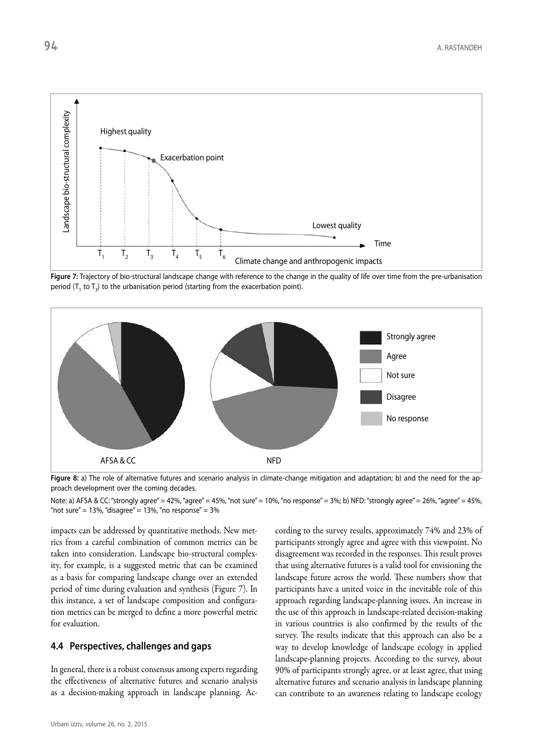

**Figure 7:** Trajectory of bio-structural landscape change with reference to the change in the quality of life over time from the pre-urbanisation period  $(T_1$  to  $T_3)$  to the urbanisation period (starting from the exacerbation point).



**Figure 8:** a) The role of alternative futures and scenario analysis in climate-change mitigation and adaptation; b) and the need for the approach development over the coming decades.

Note: a) AFSA & CC: "strongly agree" = 42%, "agree" = 45%, "not sure" = 10%, "no response" = 3%; b) NFD: "strongly agree" = 26%, "agree" = 45%, "not sure" = 13%, "disagree" = 13%, "no response" = 3%

impacts can be addressed by quantitative methods. New metrics from a careful combination of common metrics can be taken into consideration. Landscape bio-structural complexity, for example, is a suggested metric that can be examined as a basis for comparing landscape change over an extended period of time during evaluation and synthesis (Figure 7). In this instance, a set of landscape composition and configuration metrics can be merged to define a more powerful metric for evaluation.

#### **4.4 Perspectives, challenges and gaps**

In general, there is a robust consensus among experts regarding the effectiveness of alternative futures and scenario analysis as a decision-making approach in landscape planning. According to the survey results, approximately 74% and 23% of participants strongly agree and agree with this viewpoint. No disagreement was recorded in the responses. This result proves that using alternative futures is a valid tool for envisioning the landscape future across the world. These numbers show that participants have a united voice in the inevitable role of this approach regarding landscape-planning issues. An increase in the use of this approach in landscape-related decision-making in various countries is also confirmed by the results of the survey. The results indicate that this approach can also be a way to develop knowledge of landscape ecology in applied landscape-planning projects. According to the survey, about 90% of participants strongly agree, or at least agree, that using alternative futures and scenario analysis in landscape planning can contribute to an awareness relating to landscape ecology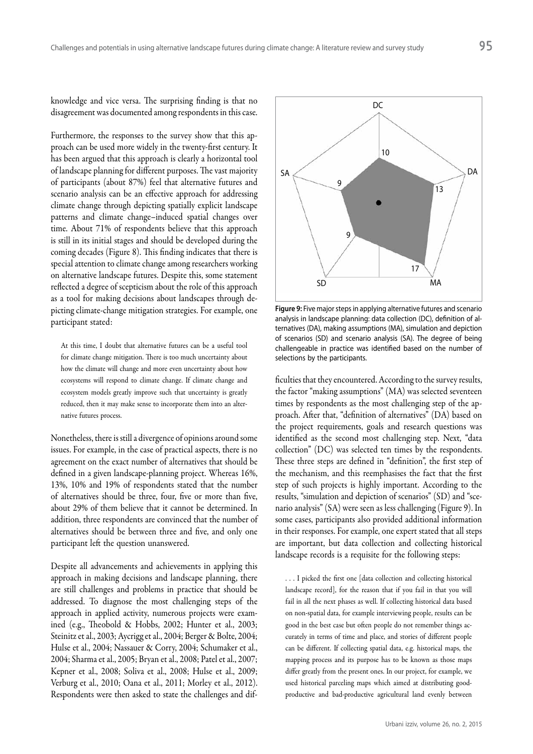knowledge and vice versa. The surprising finding is that no disagreement was documented among respondents in this case.

Furthermore, the responses to the survey show that this approach can be used more widely in the twenty-first century. It has been argued that this approach is clearly a horizontal tool of landscape planning for different purposes. The vast majority of participants (about 87%) feel that alternative futures and scenario analysis can be an effective approach for addressing climate change through depicting spatially explicit landscape patterns and climate change–induced spatial changes over time. About 71% of respondents believe that this approach is still in its initial stages and should be developed during the coming decades (Figure 8). This finding indicates that there is special attention to climate change among researchers working on alternative landscape futures. Despite this, some statement reflected a degree of scepticism about the role of this approach as a tool for making decisions about landscapes through depicting climate-change mitigation strategies. For example, one participant stated:

At this time, I doubt that alternative futures can be a useful tool for climate change mitigation. There is too much uncertainty about how the climate will change and more even uncertainty about how ecosystems will respond to climate change. If climate change and ecosystem models greatly improve such that uncertainty is greatly reduced, then it may make sense to incorporate them into an alternative futures process.

Nonetheless, there is still a divergence of opinions around some issues. For example, in the case of practical aspects, there is no agreement on the exact number of alternatives that should be defined in a given landscape-planning project. Whereas 16%, 13%, 10% and 19% of respondents stated that the number of alternatives should be three, four, five or more than five, about 29% of them believe that it cannot be determined. In addition, three respondents are convinced that the number of alternatives should be between three and five, and only one participant left the question unanswered.

Despite all advancements and achievements in applying this approach in making decisions and landscape planning, there are still challenges and problems in practice that should be addressed. To diagnose the most challenging steps of the approach in applied activity, numerous projects were examined (e.g., Theobold & Hobbs, 2002; Hunter et al., 2003; Steinitz et al., 2003; Aycrigg et al., 2004; Berger & Bolte, 2004; Hulse et al., 2004; Nassauer & Corry, 2004; Schumaker et al., 2004; Sharma et al., 2005; Bryan et al., 2008; Patel et al., 2007; Kepner et al., 2008; Soliva et al., 2008; Hulse et al., 2009; Verburg et al., 2010; Oana et al., 2011; Morley et al., 2012). Respondents were then asked to state the challenges and dif-



**Figure 9:** Five major steps in applying alternative futures and scenario analysis in landscape planning: data collection (DC), definition of alternatives (DA), making assumptions (MA), simulation and depiction of scenarios (SD) and scenario analysis (SA). The degree of being challengeable in practice was identified based on the number of selections by the participants.

ficulties that they encountered. According to the survey results, the factor "making assumptions" (MA) was selected seventeen times by respondents as the most challenging step of the approach. After that, "definition of alternatives" (DA) based on the project requirements, goals and research questions was identified as the second most challenging step. Next, "data collection" (DC) was selected ten times by the respondents. These three steps are defined in "definition", the first step of the mechanism, and this reemphasises the fact that the first step of such projects is highly important. According to the results, "simulation and depiction of scenarios" (SD) and "scenario analysis" (SA) were seen as less challenging (Figure 9). In some cases, participants also provided additional information in their responses. For example, one expert stated that all steps are important, but data collection and collecting historical landscape records is a requisite for the following steps:

... I picked the first one [data collection and collecting historical landscape record], for the reason that if you fail in that you will fail in all the next phases as well. If collecting historical data based on non-spatial data, for example interviewing people, results can be good in the best case but often people do not remember things accurately in terms of time and place, and stories of different people can be different. If collecting spatial data, e.g. historical maps, the mapping process and its purpose has to be known as those maps differ greatly from the present ones. In our project, for example, we used historical parceling maps which aimed at distributing goodproductive and bad-productive agricultural land evenly between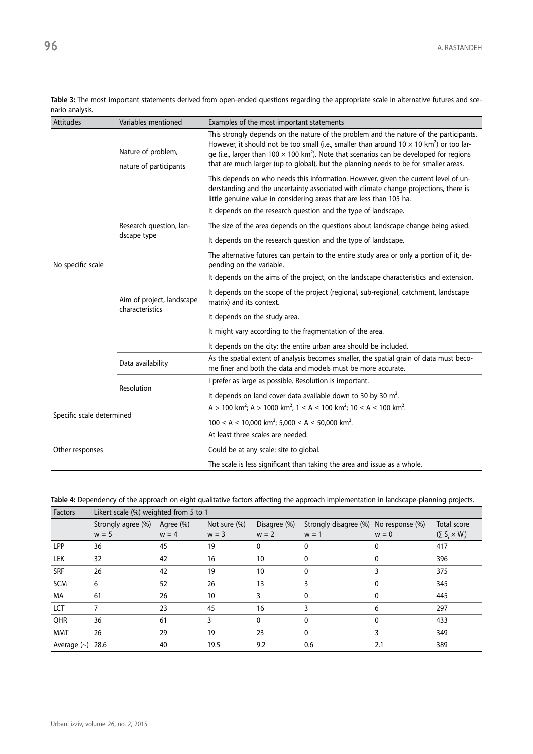| <b>Attitudes</b>          | Variables mentioned                          | Examples of the most important statements                                                                                                                                                                                                                                                                                                                                                                |  |
|---------------------------|----------------------------------------------|----------------------------------------------------------------------------------------------------------------------------------------------------------------------------------------------------------------------------------------------------------------------------------------------------------------------------------------------------------------------------------------------------------|--|
| No specific scale         | Nature of problem,<br>nature of participants | This strongly depends on the nature of the problem and the nature of the participants.<br>However, it should not be too small (i.e., smaller than around $10 \times 10 \text{ km}^2$ ) or too lar-<br>ge (i.e., larger than 100 $\times$ 100 km <sup>2</sup> ). Note that scenarios can be developed for regions<br>that are much larger (up to global), but the planning needs to be for smaller areas. |  |
|                           |                                              | This depends on who needs this information. However, given the current level of un-<br>derstanding and the uncertainty associated with climate change projections, there is<br>little genuine value in considering areas that are less than 105 ha.                                                                                                                                                      |  |
|                           |                                              | It depends on the research question and the type of landscape.                                                                                                                                                                                                                                                                                                                                           |  |
|                           | Research question, lan-                      | The size of the area depends on the questions about landscape change being asked.                                                                                                                                                                                                                                                                                                                        |  |
|                           | dscape type                                  | It depends on the research question and the type of landscape.                                                                                                                                                                                                                                                                                                                                           |  |
|                           |                                              | The alternative futures can pertain to the entire study area or only a portion of it, de-<br>pending on the variable.                                                                                                                                                                                                                                                                                    |  |
|                           |                                              | It depends on the aims of the project, on the landscape characteristics and extension.                                                                                                                                                                                                                                                                                                                   |  |
|                           | Aim of project, landscape<br>characteristics | It depends on the scope of the project (regional, sub-regional, catchment, landscape<br>matrix) and its context.                                                                                                                                                                                                                                                                                         |  |
|                           |                                              | It depends on the study area.                                                                                                                                                                                                                                                                                                                                                                            |  |
|                           |                                              | It might vary according to the fragmentation of the area.                                                                                                                                                                                                                                                                                                                                                |  |
|                           |                                              | It depends on the city: the entire urban area should be included.                                                                                                                                                                                                                                                                                                                                        |  |
|                           | Data availability                            | As the spatial extent of analysis becomes smaller, the spatial grain of data must beco-<br>me finer and both the data and models must be more accurate.                                                                                                                                                                                                                                                  |  |
|                           | Resolution                                   | I prefer as large as possible. Resolution is important.                                                                                                                                                                                                                                                                                                                                                  |  |
|                           |                                              | It depends on land cover data available down to 30 by 30 $m^2$ .                                                                                                                                                                                                                                                                                                                                         |  |
| Specific scale determined |                                              | A > 100 km <sup>2</sup> ; A > 1000 km <sup>2</sup> ; 1 $\le$ A $\le$ 100 km <sup>2</sup> ; 10 $\le$ A $\le$ 100 km <sup>2</sup> .                                                                                                                                                                                                                                                                        |  |
|                           |                                              | $100 \le A \le 10,000$ km <sup>2</sup> ; $5,000 \le A \le 50,000$ km <sup>2</sup> .                                                                                                                                                                                                                                                                                                                      |  |
| Other responses           |                                              | At least three scales are needed.                                                                                                                                                                                                                                                                                                                                                                        |  |
|                           |                                              | Could be at any scale: site to global.                                                                                                                                                                                                                                                                                                                                                                   |  |
|                           |                                              | The scale is less significant than taking the area and issue as a whole.                                                                                                                                                                                                                                                                                                                                 |  |

**Table 3:** The most important statements derived from open-ended questions regarding the appropriate scale in alternative futures and scenario analysis.

**Table 4:** Dependency of the approach on eight qualitative factors affecting the approach implementation in landscape-planning projects.

| Factors          | Likert scale (%) weighted from 5 to 1 |           |                 |              |                                       |         |                           |
|------------------|---------------------------------------|-----------|-----------------|--------------|---------------------------------------|---------|---------------------------|
|                  | Strongly agree (%)                    | Agree (%) | Not sure $(\%)$ | Disagree (%) | Strongly disagree (%) No response (%) |         | Total score               |
|                  | $w = 5$                               | $w = 4$   | $w = 3$         | $w = 2$      | $w = 1$                               | $w = 0$ | $(\Sigma S_i \times W_i)$ |
| LPP              | 36                                    | 45        | 19              | 0            | 0                                     | 0       | 417                       |
| LEK              | 32                                    | 42        | 16              | 10           | 0                                     | 0       | 396                       |
| <b>SRF</b>       | 26                                    | 42        | 19              | 10           | 0                                     |         | 375                       |
| <b>SCM</b>       | 6                                     | 52        | 26              | 13           | 3                                     | 0       | 345                       |
| МA               | 61                                    | 26        | 10              | 3            | 0                                     |         | 445                       |
| LCT              |                                       | 23        | 45              | 16           | 3                                     | 6       | 297                       |
| QHR              | 36                                    | 61        | 3               | 0            | 0                                     | 0       | 433                       |
| <b>MMT</b>       | 26                                    | 29        | 19              | 23           | 0                                     |         | 349                       |
| Average $(\sim)$ | 28.6                                  | 40        | 19.5            | 9.2          | 0.6                                   | 2.1     | 389                       |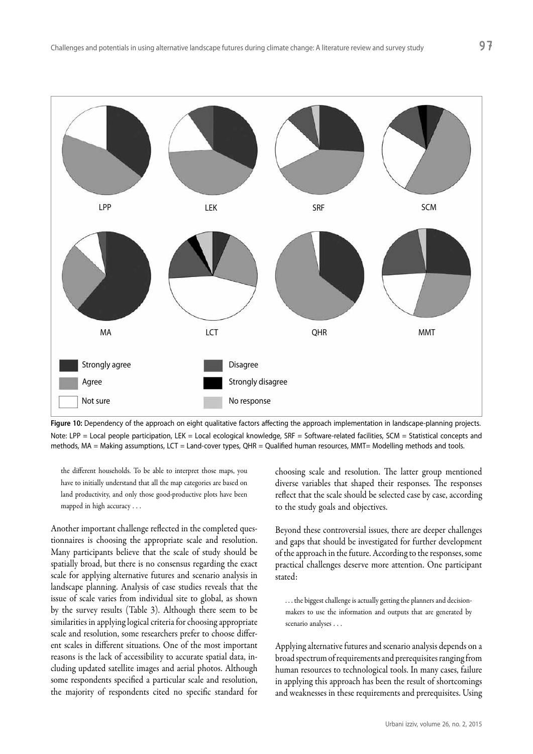

Figure 10: Dependency of the approach on eight qualitative factors affecting the approach implementation in landscape-planning projects. Note: LPP = Local people participation, LEK = Local ecological knowledge, SRF = Software-related facilities, SCM = Statistical concepts and methods, MA = Making assumptions, LCT = Land-cover types, QHR = Qualified human resources, MMT= Modelling methods and tools.

the different households. To be able to interpret those maps, you have to initially understand that all the map categories are based on land productivity, and only those good-productive plots have been mapped in high accuracy . . .

Another important challenge reflected in the completed questionnaires is choosing the appropriate scale and resolution. Many participants believe that the scale of study should be spatially broad, but there is no consensus regarding the exact scale for applying alternative futures and scenario analysis in landscape planning. Analysis of case studies reveals that the issue of scale varies from individual site to global, as shown by the survey results (Table 3). Although there seem to be similarities in applying logical criteria for choosing appropriate scale and resolution, some researchers prefer to choose different scales in different situations. One of the most important reasons is the lack of accessibility to accurate spatial data, including updated satellite images and aerial photos. Although some respondents specified a particular scale and resolution, the majority of respondents cited no specific standard for

choosing scale and resolution. The latter group mentioned diverse variables that shaped their responses. The responses reflect that the scale should be selected case by case, according to the study goals and objectives.

Beyond these controversial issues, there are deeper challenges and gaps that should be investigated for further development of the approach in the future. According to the responses, some practical challenges deserve more attention. One participant stated:

. . . the biggest challenge is actually getting the planners and decisionmakers to use the information and outputs that are generated by scenario analyses . . .

Applying alternative futures and scenario analysis depends on a broad spectrum of requirements and prerequisites ranging from human resources to technological tools. In many cases, failure in applying this approach has been the result of shortcomings and weaknesses in these requirements and prerequisites. Using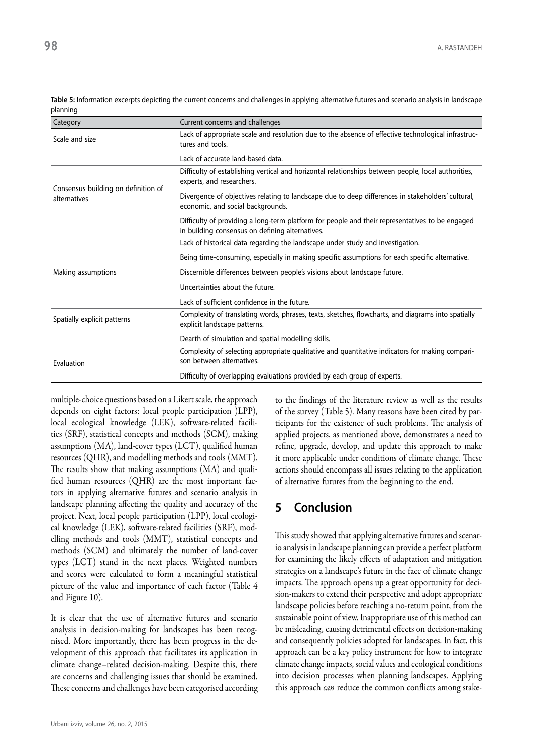| Category                                            | Current concerns and challenges                                                                                                                    |
|-----------------------------------------------------|----------------------------------------------------------------------------------------------------------------------------------------------------|
| Scale and size                                      | Lack of appropriate scale and resolution due to the absence of effective technological infrastruc-<br>tures and tools.                             |
|                                                     | Lack of accurate land-based data.                                                                                                                  |
| Consensus building on definition of<br>alternatives | Difficulty of establishing vertical and horizontal relationships between people, local authorities,<br>experts, and researchers.                   |
|                                                     | Divergence of objectives relating to landscape due to deep differences in stakeholders' cultural,<br>economic, and social backgrounds.             |
|                                                     | Difficulty of providing a long-term platform for people and their representatives to be engaged<br>in building consensus on defining alternatives. |
|                                                     | Lack of historical data regarding the landscape under study and investigation.                                                                     |
|                                                     | Being time-consuming, especially in making specific assumptions for each specific alternative.                                                     |
| Making assumptions                                  | Discernible differences between people's visions about landscape future.                                                                           |
|                                                     | Uncertainties about the future.                                                                                                                    |
|                                                     | Lack of sufficient confidence in the future.                                                                                                       |
| Spatially explicit patterns                         | Complexity of translating words, phrases, texts, sketches, flowcharts, and diagrams into spatially<br>explicit landscape patterns.                 |
|                                                     | Dearth of simulation and spatial modelling skills.                                                                                                 |
| Evaluation                                          | Complexity of selecting appropriate qualitative and quantitative indicators for making compari-<br>son between alternatives.                       |
|                                                     | Difficulty of overlapping evaluations provided by each group of experts.                                                                           |

**Table 5:** Information excerpts depicting the current concerns and challenges in applying alternative futures and scenario analysis in landscape planning

multiple-choice questions based on a Likert scale, the approach depends on eight factors: local people participation )LPP), local ecological knowledge (LEK), software-related facilities (SRF), statistical concepts and methods (SCM), making assumptions (MA), land-cover types (LCT), qualified human resources (QHR), and modelling methods and tools (MMT). The results show that making assumptions (MA) and qualified human resources (QHR) are the most important factors in applying alternative futures and scenario analysis in landscape planning affecting the quality and accuracy of the project. Next, local people participation (LPP), local ecological knowledge (LEK), software-related facilities (SRF), modelling methods and tools (MMT), statistical concepts and methods (SCM) and ultimately the number of land-cover types (LCT) stand in the next places. Weighted numbers and scores were calculated to form a meaningful statistical picture of the value and importance of each factor (Table 4 and Figure 10).

It is clear that the use of alternative futures and scenario analysis in decision-making for landscapes has been recognised. More importantly, there has been progress in the development of this approach that facilitates its application in climate change–related decision-making. Despite this, there are concerns and challenging issues that should be examined. These concerns and challenges have been categorised according to the findings of the literature review as well as the results of the survey (Table 5). Many reasons have been cited by participants for the existence of such problems. The analysis of applied projects, as mentioned above, demonstrates a need to refine, upgrade, develop, and update this approach to make it more applicable under conditions of climate change. These actions should encompass all issues relating to the application of alternative futures from the beginning to the end.

## **5 Conclusion**

This study showed that applying alternative futures and scenario analysis in landscape planning can provide a perfect platform for examining the likely effects of adaptation and mitigation strategies on a landscape's future in the face of climate change impacts. The approach opens up a great opportunity for decision-makers to extend their perspective and adopt appropriate landscape policies before reaching a no-return point, from the sustainable point of view. Inappropriate use of this method can be misleading, causing detrimental effects on decision-making and consequently policies adopted for landscapes. In fact, this approach can be a key policy instrument for how to integrate climate change impacts, social values and ecological conditions into decision processes when planning landscapes. Applying this approach *can* reduce the common conflicts among stake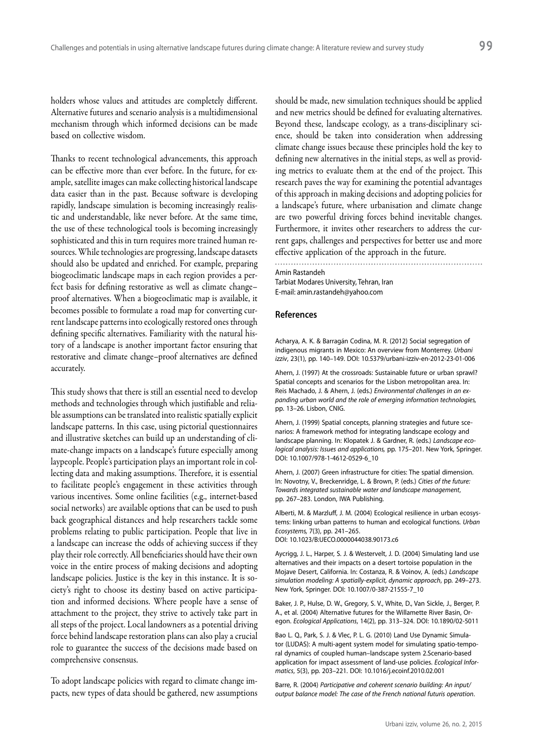holders whose values and attitudes are completely different. Alternative futures and scenario analysis is a multidimensional mechanism through which informed decisions can be made based on collective wisdom.

Thanks to recent technological advancements, this approach can be effective more than ever before. In the future, for example, satellite images can make collecting historical landscape data easier than in the past. Because software is developing rapidly, landscape simulation is becoming increasingly realistic and understandable, like never before. At the same time, the use of these technological tools is becoming increasingly sophisticated and this in turn requires more trained human resources. While technologies are progressing, landscape datasets should also be updated and enriched. For example, preparing biogeoclimatic landscape maps in each region provides a perfect basis for defining restorative as well as climate change– proof alternatives. When a biogeoclimatic map is available, it becomes possible to formulate a road map for converting current landscape patterns into ecologically restored ones through defining specific alternatives. Familiarity with the natural history of a landscape is another important factor ensuring that restorative and climate change–proof alternatives are defined accurately.

This study shows that there is still an essential need to develop methods and technologies through which justifiable and reliable assumptions can be translated into realistic spatially explicit landscape patterns. In this case, using pictorial questionnaires and illustrative sketches can build up an understanding of climate-change impacts on a landscape's future especially among laypeople. People's participation plays an important role in collecting data and making assumptions. Therefore, it is essential to facilitate people's engagement in these activities through various incentives. Some online facilities (e.g., internet-based social networks) are available options that can be used to push back geographical distances and help researchers tackle some problems relating to public participation. People that live in a landscape can increase the odds of achieving success if they play their role correctly. All beneficiaries should have their own voice in the entire process of making decisions and adopting landscape policies. Justice is the key in this instance. It is society's right to choose its destiny based on active participation and informed decisions. Where people have a sense of attachment to the project, they strive to actively take part in all steps of the project. Local landowners as a potential driving force behind landscape restoration plans can also play a crucial role to guarantee the success of the decisions made based on comprehensive consensus.

To adopt landscape policies with regard to climate change impacts, new types of data should be gathered, new assumptions should be made, new simulation techniques should be applied and new metrics should be defined for evaluating alternatives. Beyond these, landscape ecology, as a trans-disciplinary science, should be taken into consideration when addressing climate change issues because these principles hold the key to defining new alternatives in the initial steps, as well as providing metrics to evaluate them at the end of the project. This research paves the way for examining the potential advantages of this approach in making decisions and adopting policies for a landscape's future, where urbanisation and climate change are two powerful driving forces behind inevitable changes. Furthermore, it invites other researchers to address the current gaps, challenges and perspectives for better use and more effective application of the approach in the future.

Amin Rastandeh

Tarbiat Modares University, Tehran, Iran E-mail: amin.rastandeh@yahoo.com

#### **References**

Acharya, A. K. & Barragán Codina, M. R. (2012) Social segregation of indigenous migrants in Mexico: An overview from Monterrey. *Urbani izziv*, 23(1), pp. 140–149. DOI: 10.5379/urbani-izziv-en-2012-23-01-006

Ahern, J. (1997) At the crossroads: Sustainable future or urban sprawl? Spatial concepts and scenarios for the Lisbon metropolitan area. In: Reis Machado, J. & Ahern, J. (eds.) *Environmental challenges in an expanding urban world and the role of emerging information technologies,*  pp. 13–26*.* Lisbon, CNIG.

Ahern, J. (1999) Spatial concepts, planning strategies and future scenarios: A framework method for integrating landscape ecology and landscape planning. In: Klopatek J. & Gardner, R. (eds.) *Landscape ecological analysis: Issues and applications,* pp. 175–201. New York, Springer. DOI: 10.1007/978-1-4612-0529-6\_10

Ahern, J. (2007) Green infrastructure for cities: The spatial dimension. In: Novotny, V., Breckenridge, L. & Brown, P. (eds.) *Cities of the future: Towards integrated sustainable water and landscape management*, pp. 267–283. London, IWA Publishing.

Alberti, M. & Marzluff, J. M. (2004) Ecological resilience in urban ecosystems: linking urban patterns to human and ecological functions. *Urban Ecosystems,* 7(3), pp. 241–265.

DOI: 10.1023/B:UECO.0000044038.90173.c6

Aycrigg, J. L., Harper, S. J. & Westervelt, J. D. (2004) Simulating land use alternatives and their impacts on a desert tortoise population in the Mojave Desert, California. In: Costanza, R. & Voinov, A. (eds.) *Landscape simulation modeling: A spatially-explicit, dynamic approach*, pp. 249–273. New York, Springer. DOI: 10.1007/0-387-21555-7\_10

Baker, J. P., Hulse, D. W., Gregory, S. V., White, D., Van Sickle, J., Berger, P. A., et al. (2004) Alternative futures for the Willamette River Basin, Oregon. *Ecological Applications*, 14(2), pp. 313–324. DOI: 10.1890/02-5011

Bao L. Q., Park, S. J. & Vlec, P. L. G. (2010) Land Use Dynamic Simulator (LUDAS): A multi-agent system model for simulating spatio-temporal dynamics of coupled human–landscape system 2.Scenario-based application for impact assessment of land-use policies. *Ecological Informatics*, 5(3), pp. 203–221. DOI: 10.1016/j.ecoinf.2010.02.001

Barre, R. (2004) *Participative and coherent scenario building: An input/ output balance model: The case of the French national futuris operation*.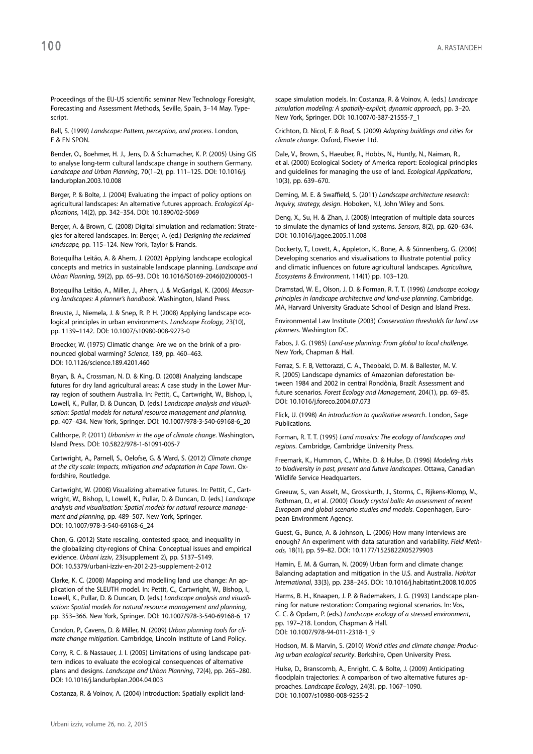Proceedings of the EU-US scientific seminar New Technology Foresight, Forecasting and Assessment Methods, Seville, Spain, 3–14 May. Typescript.

Bell, S. (1999) *Landscape: Pattern, perception, and process*. London, F & FN SPON.

Bender, O., Boehmer, H. J., Jens, D. & Schumacher, K. P. (2005) Using GIS to analyse long-term cultural landscape change in southern Germany. *Landscape and Urban Planning*, 70(1–2), pp. 111–125. DOI: 10.1016/j. landurbplan.2003.10.008

Berger, P. & Bolte, J. (2004) Evaluating the impact of policy options on agricultural landscapes: An alternative futures approach. *Ecological Applications*, 14(2), pp. 342–354. DOI: 10.1890/02-5069

Berger, A. & Brown, C. (2008) Digital simulation and reclamation: Strategies for altered landscapes. In: Berger, A. (ed.) *Designing the reclaimed landscape,* pp. 115–124. New York, Taylor & Francis.

Botequilha Leitão, A. & Ahern, J. (2002) Applying landscape ecological concepts and metrics in sustainable landscape planning. *Landscape and Urban Planning*, 59(2), pp. 65–93. DOI: 10.1016/S0169-2046(02)00005-1

Botequilha Leitão, A., Miller, J., Ahern, J. & McGarigal, K. (2006) *Measuring landscapes: A planner's handbook*. Washington, Island Press.

Breuste, J., Niemela, J. & Snep, R. P. H. (2008) Applying landscape ecological principles in urban environments. *Landscape Ecology*, 23(10), pp. 1139–1142. DOI: 10.1007/s10980-008-9273-0

Broecker, W. (1975) Climatic change: Are we on the brink of a pronounced global warming? *Science*, 189, pp. 460–463. DOI: 10.1126/science.189.4201.460

Bryan, B. A., Crossman, N. D. & King, D. (2008) Analyzing landscape futures for dry land agricultural areas: A case study in the Lower Murray region of southern Australia. In: Pettit, C., Cartwright, W., Bishop, I., Lowell, K., Pullar, D. & Duncan, D. (eds.) *Landscape analysis and visualisation: Spatial models for natural resource management and planning,*  pp. 407–434. New York, Springer. DOI: 10.1007/978-3-540-69168-6\_20

Calthorpe, P. (2011) *Urbanism in the age of climate change*. Washington, Island Press. DOI: 10.5822/978-1-61091-005-7

Cartwright, A., Parnell, S., Oelofse, G. & Ward, S. (2012) *Climate change at the city scale: Impacts, mitigation and adaptation in Cape Town*. Oxfordshire, Routledge.

Cartwright, W. (2008) Visualizing alternative futures. In: Pettit, C., Cartwright, W., Bishop, I., Lowell, K., Pullar, D. & Duncan, D. (eds.) *Landscape analysis and visualisation: Spatial models for natural resource management and planning*, pp. 489–507. New York, Springer. DOI: 10.1007/978-3-540-69168-6\_24

Chen, G. (2012) State rescaling, contested space, and inequality in the globalizing city-regions of China: Conceptual issues and empirical evidence. *Urbani izziv*, 23(supplement 2), pp. S137–S149. DOI: 10.5379/urbani-izziv-en-2012-23-supplement-2-012

Clarke, K. C. (2008) Mapping and modelling land use change: An application of the SLEUTH model. In: Pettit, C., Cartwright, W., Bishop, I., Lowell, K., Pullar, D. & Duncan, D. (eds.) *Landscape analysis and visualisation: Spatial models for natural resource management and planning*, pp. 353–366. New York, Springer. DOI: 10.1007/978-3-540-69168-6\_17

Condon, P., Cavens, D. & Miller, N. (2009) *Urban planning tools for climate change mitigation.* Cambridge, Lincoln Institute of Land Policy.

Corry, R. C. & Nassauer, J. I. (2005) Limitations of using landscape pattern indices to evaluate the ecological consequences of alternative plans and designs. *Landscape and Urban Planning*, 72(4), pp. 265–280. DOI: 10.1016/j.landurbplan.2004.04.003

Costanza, R. & Voinov, A. (2004) Introduction: Spatially explicit land-

scape simulation models. In: Costanza, R. & Voinov, A. (eds.) *Landscape simulation modeling: A spatially-explicit, dynamic approach,* pp. 3–20. New York, Springer. DOI: 10.1007/0-387-21555-7\_1

Crichton, D. Nicol, F. & Roaf, S. (2009) *Adapting buildings and cities for climate change*. Oxford, Elsevier Ltd.

Dale, V., Brown, S., Haeuber, R., Hobbs, N., Huntly, N., Naiman, R., et al. (2000) Ecological Society of America report: Ecological principles and guidelines for managing the use of land. *Ecological Applications*, 10(3), pp. 639–670.

Deming, M. E. & Swaffield, S. (2011) *Landscape architecture research: Inquiry, strategy, design*. Hoboken, NJ, John Wiley and Sons.

Deng, X., Su, H. & Zhan, J. (2008) Integration of multiple data sources to simulate the dynamics of land systems. *Sensors*, 8(2), pp. 620–634. DOI: 10.1016/j.agee.2005.11.008

Dockerty, T., Lovett, A., Appleton, K., Bone, A. & Sünnenberg, G. (2006) Developing scenarios and visualisations to illustrate potential policy and climatic influences on future agricultural landscapes. *Agriculture, Ecosystems & Environment*, 114(1) pp. 103–120.

Dramstad, W. E., Olson, J. D. & Forman, R. T. T. (1996) *Landscape ecology principles in landscape architecture and land-use planning*. Cambridge, MA, Harvard University Graduate School of Design and Island Press.

Environmental Law Institute (2003) *Conservation thresholds for land use planners*. Washington DC.

Fabos, J. G. (1985) *Land-use planning: From global to local challenge.* New York, Chapman & Hall.

Ferraz, S. F. B, Vettorazzi, C. A., Theobald, D. M. & Ballester, M. V. R. (2005) Landscape dynamics of Amazonian deforestation between 1984 and 2002 in central Rondônia, Brazil: Assessment and future scenarios. *Forest Ecology and Management*, 204(1), pp. 69–85. DOI: 10.1016/j.foreco.2004.07.073

Flick, U. (1998) *An introduction to qualitative research*. London, Sage Publications.

Forman, R. T. T. (1995) *Land mosaics: The ecology of landscapes and regions*. Cambridge, Cambridge University Press.

Freemark, K., Hummon, C., White, D. & Hulse, D. (1996) *Modeling risks to biodiversity in past, present and future landscapes*. Ottawa, Canadian Wildlife Service Headquarters.

Greeuw, S., van Asselt, M., Grosskurth, J., Storms, C., Rijkens-Klomp, M., Rothman, D., et al. (2000) *Cloudy crystal balls: An assessment of recent European and global scenario studies and models*. Copenhagen, European Environment Agency.

Guest, G., Bunce, A. & Johnson, L. (2006) How many interviews are enough? An experiment with data saturation and variability. *Field Methods,* 18(1), pp. 59–82. DOI: 10.1177/1525822X05279903

Hamin, E. M. & Gurran, N. (2009) Urban form and climate change: Balancing adaptation and mitigation in the U.S. and Australia. *Habitat International*, 33(3), pp. 238–245. DOI: 10.1016/j.habitatint.2008.10.005

Harms, B. H., Knaapen, J. P. & Rademakers, J. G. (1993) Landscape planning for nature restoration: Comparing regional scenarios. In: Vos, C. C. & Opdam, P. (eds.) *Landscape ecology of a stressed environment*, pp. 197–218. London, Chapman & Hall. DOI: 10.1007/978-94-011-2318-1\_9

Hodson, M. & Marvin, S. (2010) *World cities and climate change: Producing urban ecological security*. Berkshire, Open University Press.

Hulse, D., Branscomb, A., Enright, C. & Bolte, J. (2009) Anticipating floodplain trajectories: A comparison of two alternative futures approaches. *Landscape Ecology*, 24(8), pp. 1067–1090. DOI: 10.1007/s10980-008-9255-2

100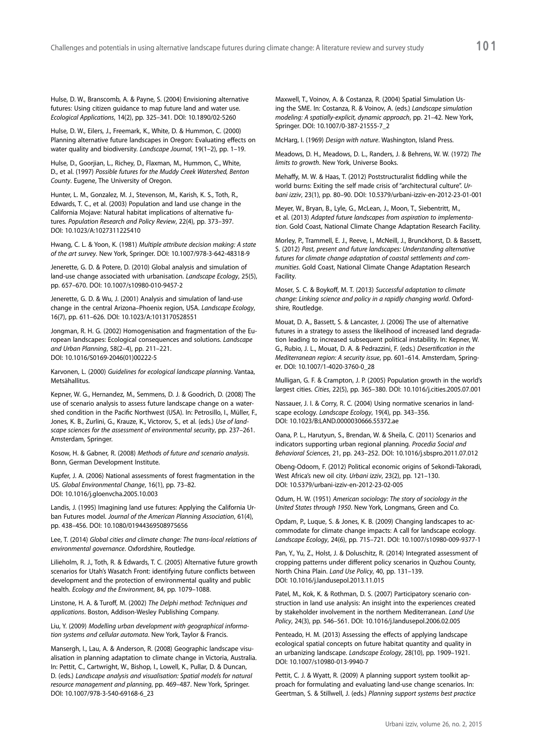Hulse, D. W., Branscomb, A. & Payne, S. (2004) Envisioning alternative futures: Using citizen guidance to map future land and water use. *Ecological Applications*, 14(2), pp. 325–341. DOI: 10.1890/02-5260

Hulse, D. W., Eilers, J., Freemark, K., White, D. & Hummon, C. (2000) Planning alternative future landscapes in Oregon: Evaluating effects on water quality and biodiversity. *Landscape Journal*, 19(1–2), pp. 1–19.

Hulse, D., Goorjian, L., Richey, D., Flaxman, M., Hummon, C., White, D., et al. (1997) *Possible futures for the Muddy Creek Watershed, Benton County*. Eugene, The University of Oregon.

Hunter, L. M., Gonzalez, M. J., Stevenson, M., Karish, K. S., Toth, R., Edwards, T. C., et al. (2003) Population and land use change in the California Mojave: Natural habitat implications of alternative futures. *Population Research and Policy Review*, 22(4), pp. 373–397. DOI: 10.1023/A:1027311225410

Hwang, C. L. & Yoon, K. (1981) *Multiple attribute decision making: A state of the art survey*. New York, Springer. DOI: 10.1007/978-3-642-48318-9

Jenerette, G. D. & Potere, D. (2010) Global analysis and simulation of land-use change associated with urbanisation. *Landscape Ecology*, 25(5), pp. 657–670. DOI: 10.1007/s10980-010-9457-2

Jenerette, G. D. & Wu, J. (2001) Analysis and simulation of land-use change in the central Arizona–Phoenix region, USA. *Landscape Ecology*, 16(7), pp. 611–626. DOI: 10.1023/A:1013170528551

Jongman, R. H. G. (2002) Homogenisation and fragmentation of the European landscapes: Ecological consequences and solutions. *Landscape and Urban Planning*, 58(2–4), pp. 211–221. DOI: 10.1016/S0169-2046(01)00222-5

Karvonen, L. (2000) *Guidelines for ecological landscape planning*. Vantaa, Metsähallitus.

Kepner, W. G., Hernandez, M., Semmens, D. J. & Goodrich, D. (2008) The use of scenario analysis to assess future landscape change on a watershed condition in the Pacific Northwest (USA). In: Petrosillo, I., Müller, F., Jones, K. B., Zurlini, G., Krauze, K., Victorov, S., et al. (eds.) *Use of landscape sciences for the assessment of environmental security*, pp. 237–261. Amsterdam, Springer.

Kosow, H. & Gabner, R. (2008) *Methods of future and scenario analysis*. Bonn, German Development Institute.

Kupfer, J. A. (2006) National assessments of forest fragmentation in the US. *Global Environmental Change*, 16(1), pp. 73–82. DOI: 10.1016/j.gloenvcha.2005.10.003

Landis, J. (1995) Imagining land use futures: Applying the California Urban Futures model. *Journal of the American Planning Association*, 61(4), pp. 438–456. DOI: 10.1080/01944369508975656

Lee, T. (2014) *Global cities and climate change: The trans-local relations of environmental governance*. Oxfordshire, Routledge.

Lilieholm, R. J., Toth, R. & Edwards, T. C. (2005) Alternative future growth scenarios for Utah's Wasatch Front: identifying future conflicts between development and the protection of environmental quality and public health. *Ecology and the Environment*, 84, pp. 1079–1088.

Linstone, H. A. & Turoff, M. (2002) *The Delphi method: Techniques and applications*. Boston, Addison-Wesley Publishing Company.

Liu, Y. (2009) *Modelling urban development with geographical information systems and cellular automata*. New York, Taylor & Francis.

Mansergh, I., Lau, A. & Anderson, R. (2008) Geographic landscape visualisation in planning adaptation to climate change in Victoria, Australia. In: Pettit, C., Cartwright, W., Bishop, I., Lowell, K., Pullar, D. & Duncan, D. (eds.) *Landscape analysis and visualisation: Spatial models for natural resource management and planning*, pp. 469–487. New York, Springer. DOI: 10.1007/978-3-540-69168-6\_23

Maxwell, T., Voinov, A. & Costanza, R. (2004) Spatial Simulation Using the SME. In: Costanza, R. & Voinov, A. (eds.) *Landscape simulation modeling: A spatially-explicit, dynamic approach*, pp. 21–42. New York, Springer. DOI: 10.1007/0-387-21555-7\_2

McHarg, I. (1969) *Design with nature*. Washington, Island Press.

Meadows, D. H., Meadows, D. L., Randers, J. & Behrens, W. W. (1972) *The limits to growth*. New York, Universe Books.

Mehaffy, M. W. & Haas, T. (2012) Poststructuralist fiddling while the world burns: Exiting the self made crisis of "architectural culture". *Urbani izziv*, 23(1), pp. 80–90. DOI: 10.5379/urbani-izziv-en-2012-23-01-001

Meyer, W., Bryan, B., Lyle, G., McLean, J., Moon, T., Siebentritt, M., et al. (2013) *Adapted future landscapes from aspiration to implementation*. Gold Coast, National Climate Change Adaptation Research Facility.

Morley, P., Trammell, E. J., Reeve, I., McNeill, J., Brunckhorst, D. & Bassett, S. (2012) *Past, present and future landscapes: Understanding alternative futures for climate change adaptation of coastal settlements and communities*. Gold Coast, National Climate Change Adaptation Research Facility.

Moser, S. C. & Boykoff, M. T. (2013) *Successful adaptation to climate change: Linking science and policy in a rapidly changing world*. Oxfordshire, Routledge.

Mouat, D. A., Bassett, S. & Lancaster, J. (2006) The use of alternative futures in a strategy to assess the likelihood of increased land degradation leading to increased subsequent political instability. In: Kepner, W. G., Rubio, J. L., Mouat, D. A. & Pedrazzini, F. (eds.) *Desertification in the Mediterranean region: A security issue*, pp. 601–614. Amsterdam, Springer. DOI: 10.1007/1-4020-3760-0\_28

Mulligan, G. F. & Crampton, J. P. (2005) Population growth in the world's largest cities. *Cities*, 22(5), pp. 365–380. DOI: 10.1016/j.cities.2005.07.001

Nassauer, J. I. & Corry, R. C. (2004) Using normative scenarios in landscape ecology. *Landscape Ecology*, 19(4), pp. 343–356. DOI: 10.1023/B:LAND.0000030666.55372.ae

Oana, P. L., Harutyun, S., Brendan, W. & Sheila, C. (2011) Scenarios and indicators supporting urban regional planning. *Procedia Social and Behavioral Sciences*, 21, pp. 243–252. DOI: 10.1016/j.sbspro.2011.07.012

Obeng-Odoom, F. (2012) Political economic origins of Sekondi-Takoradi, West Africa's new oil city. *Urbani izziv*, 23(2), pp. 121–130. DOI: 10.5379/urbani-izziv-en-2012-23-02-005

Odum, H. W. (1951) *American sociology: The story of sociology in the United States through 1950*. New York, Longmans, Green and Co.

Opdam, P., Luque, S. & Jones, K. B. (2009) Changing landscapes to accommodate for climate change impacts: A call for landscape ecology. *Landscape Ecology*, 24(6), pp. 715–721. DOI: 10.1007/s10980-009-9377-1

Pan, Y., Yu, Z., Holst, J. & Doluschitz, R. (2014) Integrated assessment of cropping patterns under different policy scenarios in Quzhou County, North China Plain. *Land Use Policy*, 40, pp. 131–139. DOI: 10.1016/j.landusepol.2013.11.015

Patel, M., Kok, K. & Rothman, D. S. (2007) Participatory scenario construction in land use analysis: An insight into the experiences created by stakeholder involvement in the northern Mediterranean. *Land Use Policy*, 24(3), pp. 546–561. DOI: 10.1016/j.landusepol.2006.02.005

Penteado, H. M. (2013) Assessing the effects of applying landscape ecological spatial concepts on future habitat quantity and quality in an urbanizing landscape. *Landscape Ecology*, 28(10), pp. 1909–1921. DOI: 10.1007/s10980-013-9940-7

Pettit, C. J. & Wyatt, R. (2009) A planning support system toolkit approach for formulating and evaluating land-use change scenarios. In: Geertman, S. & Stillwell, J. (eds.) *Planning support systems best practice*